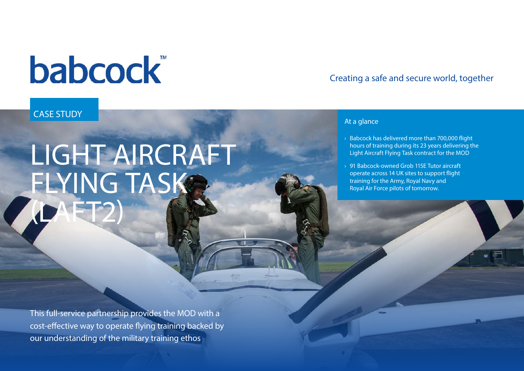# **babcock**

### CASE STUDY

# LIGHT AIRCRAFT FLYING TASKS (LAFT2)

This full-service partnership provides the MOD with a cost-effective way to operate flying training backed by our understanding of the military training ethos

### Creating a safe and secure world, together

#### At a glance

- $\rightarrow$  Babcock has delivered more than 700,000 flight hours of training during its 23 years delivering the Light Aircraft Flying Task contract for the MOD
- › 91 Babcock-owned Grob 115E Tutor aircraft operate across 14 UK sites to support flight training for the Army, Royal Navy and Royal Air Force pilots of tomorrow.